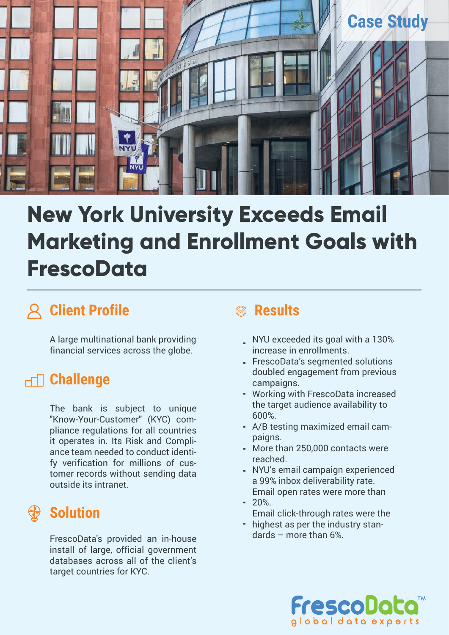

# **New York University Exceeds Email Marketing and Enrollment Goals with FrescoData**

# **Client Profile**

A large multinational bank providing financial services across the globe.

# **Challenge**

The bank is subject to unique "Know-Your-Customer" (KYC) compliance regulations for all countries it operates in. Its Risk and Compliance team needed to conduct identify verification for millions of customer records without sending data outside its intranet.

# **Solution**

FrescoData's provided an in-house install of large, official government databases across all of the client's target countries for KYC.

# **Results**

- NYU exceeded its goal with a 130% increase in enrollments.
- FrescoData's segmented solutions doubled engagement from previous campaigns.
- Working with FrescoData increased the target audience availability to 600%.
- A/B testing maximized email campaigns.
- More than 250,000 contacts were reached.
- NYU's email campaign experienced a 99% inbox deliverability rate. Email open rates were more than
- 20%. Email click-through rates were the
- highest as per the industry standards – more than 6%.

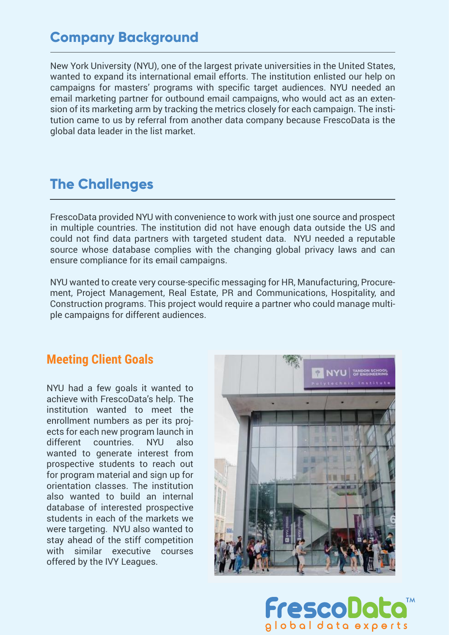## **Company Background**

New York University (NYU), one of the largest private universities in the United States, wanted to expand its international email efforts. The institution enlisted our help on campaigns for masters' programs with specific target audiences. NYU needed an email marketing partner for outbound email campaigns, who would act as an extension of its marketing arm by tracking the metrics closely for each campaign. The institution came to us by referral from another data company because FrescoData is the global data leader in the list market.

## **The Challenges**

FrescoData provided NYU with convenience to work with just one source and prospect in multiple countries. The institution did not have enough data outside the US and could not find data partners with targeted student data. NYU needed a reputable source whose database complies with the changing global privacy laws and can ensure compliance for its email campaigns.

NYU wanted to create very course-specific messaging for HR, Manufacturing, Procurement, Project Management, Real Estate, PR and Communications, Hospitality, and Construction programs. This project would require a partner who could manage multiple campaigns for different audiences.

#### **Meeting Client Goals**

NYU had a few goals it wanted to achieve with FrescoData's help. The institution wanted to meet the enrollment numbers as per its projects for each new program launch in different countries. NYU also wanted to generate interest from prospective students to reach out for program material and sign up for orientation classes. The institution also wanted to build an internal database of interested prospective students in each of the markets we were targeting. NYU also wanted to stay ahead of the stiff competition with similar executive courses offered by the IVY Leagues.



FrescoD alobal data experts